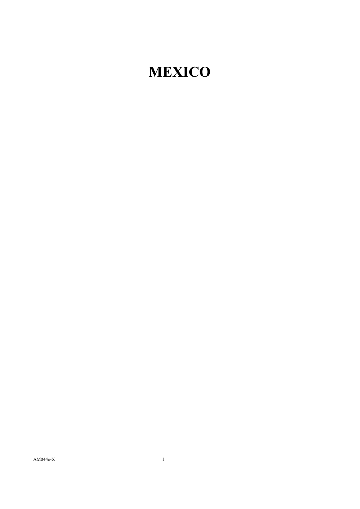## **MEXICO**